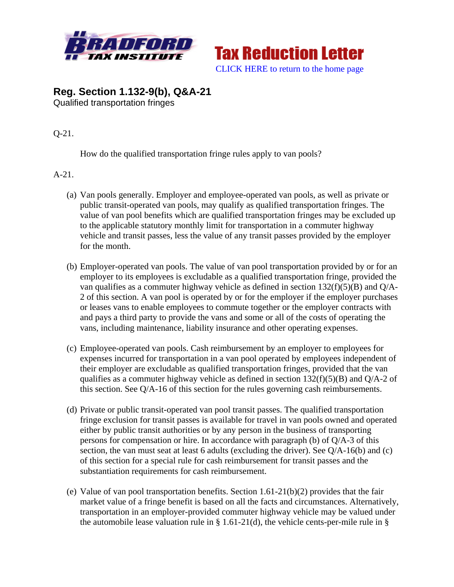



## **Reg. Section 1.132-9(b), Q&A-21**  Qualified transportation fringes

Q-21.

How do the qualified transportation fringe rules apply to van pools?

A-21.

- (a) Van pools generally. Employer and employee-operated van pools, as well as private or public transit-operated van pools, may qualify as qualified transportation fringes. The value of van pool benefits which are qualified transportation fringes may be excluded up to the applicable statutory monthly limit for transportation in a commuter highway vehicle and transit passes, less the value of any transit passes provided by the employer for the month.
- (b) Employer-operated van pools. The value of van pool transportation provided by or for an employer to its employees is excludable as a qualified transportation fringe, provided the van qualifies as a commuter highway vehicle as defined in section  $132(f)(5)(B)$  and Q/A-2 of this section. A van pool is operated by or for the employer if the employer purchases or leases vans to enable employees to commute together or the employer contracts with and pays a third party to provide the vans and some or all of the costs of operating the vans, including maintenance, liability insurance and other operating expenses.
- (c) Employee-operated van pools. Cash reimbursement by an employer to employees for expenses incurred for transportation in a van pool operated by employees independent of their employer are excludable as qualified transportation fringes, provided that the van qualifies as a commuter highway vehicle as defined in section  $132(f)(5)(B)$  and Q/A-2 of this section. See Q/A-16 of this section for the rules governing cash reimbursements.
- (d) Private or public transit-operated van pool transit passes. The qualified transportation fringe exclusion for transit passes is available for travel in van pools owned and operated either by public transit authorities or by any person in the business of transporting persons for compensation or hire. In accordance with paragraph (b) of Q/A-3 of this section, the van must seat at least 6 adults (excluding the driver). See Q/A-16(b) and (c) of this section for a special rule for cash reimbursement for transit passes and the substantiation requirements for cash reimbursement.
- (e) Value of van pool transportation benefits. Section 1.61-21(b)(2) provides that the fair market value of a fringe benefit is based on all the facts and circumstances. Alternatively, transportation in an employer-provided commuter highway vehicle may be valued under the automobile lease valuation rule in  $\S$  1.61-21(d), the vehicle cents-per-mile rule in  $\S$